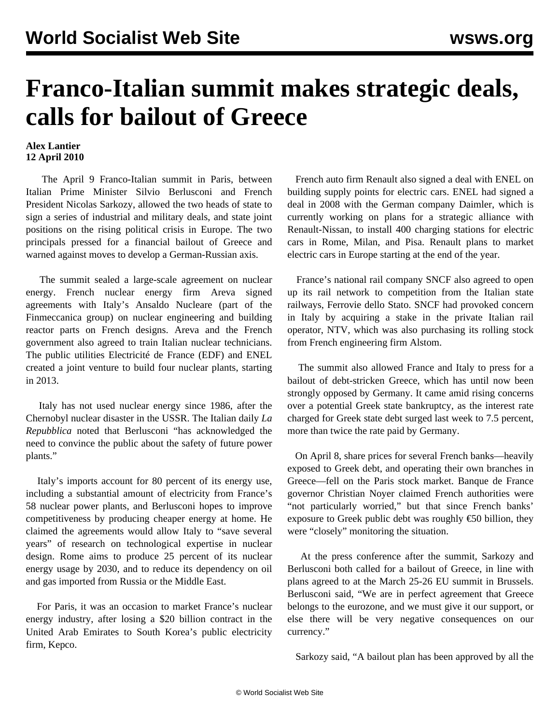## **Franco-Italian summit makes strategic deals, calls for bailout of Greece**

## **Alex Lantier 12 April 2010**

 The April 9 Franco-Italian summit in Paris, between Italian Prime Minister Silvio Berlusconi and French President Nicolas Sarkozy, allowed the two heads of state to sign a series of industrial and military deals, and state joint positions on the rising political crisis in Europe. The two principals pressed for a financial bailout of Greece and warned against moves to develop a German-Russian axis.

 The summit sealed a large-scale agreement on nuclear energy. French nuclear energy firm Areva signed agreements with Italy's Ansaldo Nucleare (part of the Finmeccanica group) on nuclear engineering and building reactor parts on French designs. Areva and the French government also agreed to train Italian nuclear technicians. The public utilities Electricité de France (EDF) and ENEL created a joint venture to build four nuclear plants, starting in 2013.

 Italy has not used nuclear energy since 1986, after the Chernobyl nuclear disaster in the USSR. The Italian daily *La Repubblica* noted that Berlusconi "has acknowledged the need to convince the public about the safety of future power plants."

 Italy's imports account for 80 percent of its energy use, including a substantial amount of electricity from France's 58 nuclear power plants, and Berlusconi hopes to improve competitiveness by producing cheaper energy at home. He claimed the agreements would allow Italy to "save several years" of research on technological expertise in nuclear design. Rome aims to produce 25 percent of its nuclear energy usage by 2030, and to reduce its dependency on oil and gas imported from Russia or the Middle East.

 For Paris, it was an occasion to market France's nuclear energy industry, after losing a \$20 billion contract in the United Arab Emirates to South Korea's public electricity firm, Kepco.

 French auto firm Renault also signed a deal with ENEL on building supply points for electric cars. ENEL had signed a deal in 2008 with the German company Daimler, which is currently working on plans for a strategic alliance with Renault-Nissan, to install 400 charging stations for electric cars in Rome, Milan, and Pisa. Renault plans to market electric cars in Europe starting at the end of the year.

 France's national rail company SNCF also agreed to open up its rail network to competition from the Italian state railways, Ferrovie dello Stato. SNCF had provoked concern in Italy by acquiring a stake in the private Italian rail operator, NTV, which was also purchasing its rolling stock from French engineering firm Alstom.

 The summit also allowed France and Italy to press for a bailout of debt-stricken Greece, which has until now been strongly opposed by Germany. It came amid rising concerns over a potential Greek state bankruptcy, as the interest rate charged for Greek state debt surged last week to 7.5 percent, more than twice the rate paid by Germany.

 On April 8, share prices for several French banks—heavily exposed to Greek debt, and operating their own branches in Greece—fell on the Paris stock market. Banque de France governor Christian Noyer claimed French authorities were "not particularly worried," but that since French banks' exposure to Greek public debt was roughly  $\epsilon$  50 billion, they were "closely" monitoring the situation.

 At the press conference after the summit, Sarkozy and Berlusconi both called for a bailout of Greece, in line with plans agreed to at the March 25-26 EU summit in Brussels. Berlusconi said, "We are in perfect agreement that Greece belongs to the eurozone, and we must give it our support, or else there will be very negative consequences on our currency."

Sarkozy said, "A bailout plan has been approved by all the